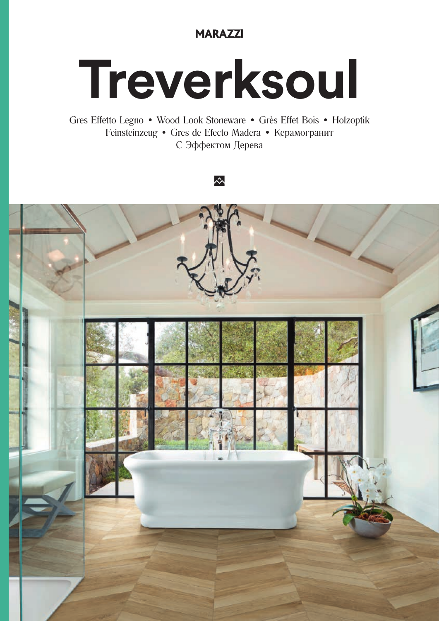## **MARAZZI**

# Treverksoul

Gres Effetto Legno · Wood Look Stoneware · Grès Effet Bois · Holzoptik Feinsteinzeug • Gres de Efecto Madera • Керамогранит С Эффектом Дерева

### 公

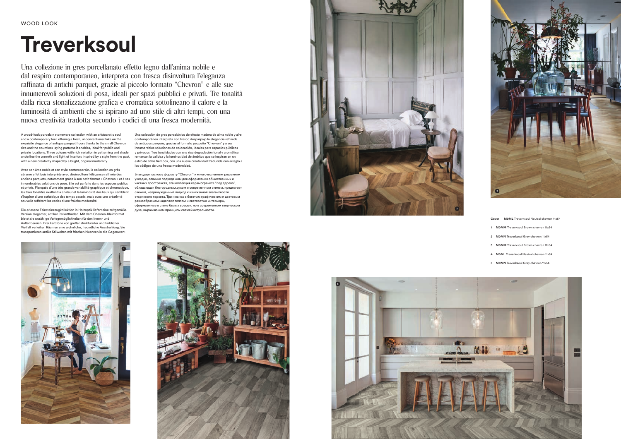# **Treverksoul**

Una collezione in gres porcellanato effetto legno dall'anima nobile e dal respiro contemporaneo, interpreta con fresca disinvoltura l'eleganza raffinata di antichi parquet, grazie al piccolo formato "Chevron" e alle sue innumerevoli soluzioni di posa, ideali per spazi pubblici e privati. Tre tonalità dalla ricca stonalizzazione grafica e cromatica sottolineano il calore e la luminosità di ambienti che si ispirano ad uno stile di altri tempi, con una nuova creatività tradotta secondo i codici di una fresca modernità.

A wood-look porcelain stoneware collection with an aristocratic soul and a contemporary feel, offering a fresh, unconventional take on the exquisite elegance of antique parquet floors thanks to the small Chevron size and the countless laying patterns it enables, ideal for public and private locations. Three colours with rich variation in patterning and shade underline the warmth and light of interiors inspired by a style from the past, with a new creativity shaped by a bright, original modernity.

Avec son âme noble et son style contemporain, la collection en grès cérame effet bois interprète avec désinvolture l'élégance raffinée des anciens parquets, notamment grâce à son petit format « Chevron » et à ses innombrables solutions de pose. Elle est parfaite dans les espaces publics et privés. Flanqués d'une très grande variabilité graphique et chromatique, les trois tonalités exaltent la chaleur et la luminosité des lieux qui semblent s'inspirer d'une esthétique des temps passés, mais avec une créativité nouvelle reflétant les codes d'une fraîche modernité.

Die erlesene Feinsteinzeugkollektion in Holzoptik liefert eine zeitgemäße Version eleganter, antiker Parkettböden. Mit dem Chevron-Kleinformat bietet sie unzählige Verlegemöglichkeiten für den Innen- und Außenbereich. Drei Farbtöne von großer struktureller und farblicher Vielfalt verleihen Räumen eine wohnliche, freundliche Ausstrahlung. Sie transportieren antike Stilwelten mit frischen Nuancen in die Gegenwart.

Una colección de gres porcelánico de efecto madera de alma noble y aire contemporáneo interpreta con fresco desparpajo la elegancia refinada de antiguos parqués, gracias al formato pequeño "Chevron" y a sus innumerables soluciones de colocación, ideales para espacios públicos y privados. Tres tonalidades con una rica degradación tonal y cromática remarcan la calidez y la luminosidad de ámbitos que se inspiran en un estilo de otros tiempos, con una nueva creatividad traducida con arreglo a los códigos de una fresca modernidad.

Благодаря малому формату "Chevron" и многочисленным решениям укладки, отлично подходящим для оформления общественных и частных пространств, эта коллекция керамогранита "под дерево", обладающая благородным духом и современным стилем, предлагает свежий, непринужденный подход к изысканной элегантности старинного паркета. Три нюанса с богатым графическим и цветовым разнообразием наделяют теплом и светлостью интерьеры, оформленные в стиле былых времен, но в современном творческом духе, выражающем принципы свежей актуальности.











**Cover M0ML** Treverksoul Neutral chevron 11x54

- **1 M0MM** Treverksoul Brown chevron 11x54
- **2 M0MN** Treverksoul Grey chevron 11x54
- **3 M0MM** Treverksoul Brown chevron 11x54
- **4 M0ML** Treverksoul Neutral chevron 11x54
- **5 M0MN** Treverksoul Grey chevron 11x54